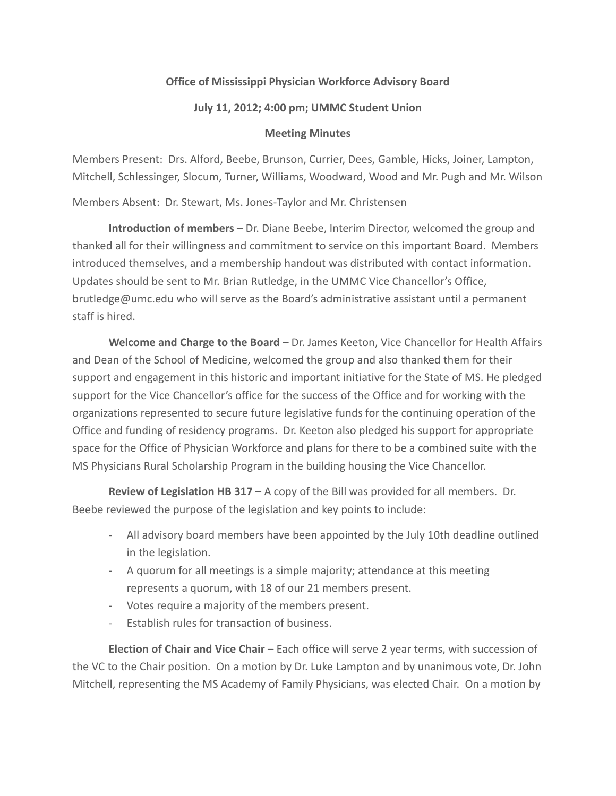## **Office of Mississippi Physician Workforce Advisory Board**

## **July 11, 2012; 4:00 pm; UMMC Student Union**

## **Meeting Minutes**

Members Present: Drs. Alford, Beebe, Brunson, Currier, Dees, Gamble, Hicks, Joiner, Lampton, Mitchell, Schlessinger, Slocum, Turner, Williams, Woodward, Wood and Mr. Pugh and Mr. Wilson

Members Absent: Dr. Stewart, Ms. Jones-Taylor and Mr. Christensen

**Introduction of members** – Dr. Diane Beebe, Interim Director, welcomed the group and thanked all for their willingness and commitment to service on this important Board. Members introduced themselves, and a membership handout was distributed with contact information. Updates should be sent to Mr. Brian Rutledge, in the UMMC Vice Chancellor's Office, brutledge@umc.edu who will serve as the Board's administrative assistant until a permanent staff is hired.

**Welcome and Charge to the Board** – Dr. James Keeton, Vice Chancellor for Health Affairs and Dean of the School of Medicine, welcomed the group and also thanked them for their support and engagement in this historic and important initiative for the State of MS. He pledged support for the Vice Chancellor's office for the success of the Office and for working with the organizations represented to secure future legislative funds for the continuing operation of the Office and funding of residency programs. Dr. Keeton also pledged his support for appropriate space for the Office of Physician Workforce and plans for there to be a combined suite with the MS Physicians Rural Scholarship Program in the building housing the Vice Chancellor.

**Review of Legislation HB 317** – A copy of the Bill was provided for all members. Dr. Beebe reviewed the purpose of the legislation and key points to include:

- All advisory board members have been appointed by the July 10th deadline outlined in the legislation.
- A quorum for all meetings is a simple majority; attendance at this meeting represents a quorum, with 18 of our 21 members present.
- Votes require a majority of the members present.
- Establish rules for transaction of business.

**Election of Chair and Vice Chair** – Each office will serve 2 year terms, with succession of the VC to the Chair position. On a motion by Dr. Luke Lampton and by unanimous vote, Dr. John Mitchell, representing the MS Academy of Family Physicians, was elected Chair. On a motion by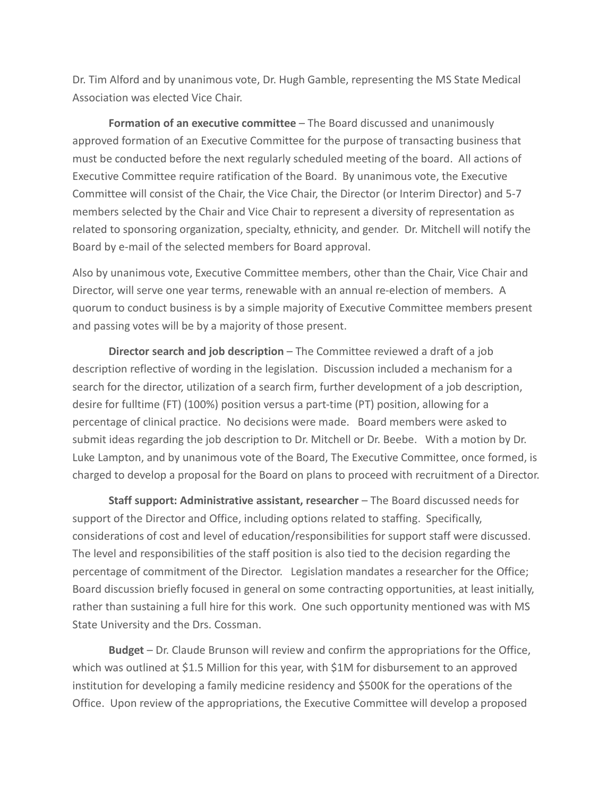Dr. Tim Alford and by unanimous vote, Dr. Hugh Gamble, representing the MS State Medical Association was elected Vice Chair.

**Formation of an executive committee** – The Board discussed and unanimously approved formation of an Executive Committee for the purpose of transacting business that must be conducted before the next regularly scheduled meeting of the board. All actions of Executive Committee require ratification of the Board. By unanimous vote, the Executive Committee will consist of the Chair, the Vice Chair, the Director (or Interim Director) and 5-7 members selected by the Chair and Vice Chair to represent a diversity of representation as related to sponsoring organization, specialty, ethnicity, and gender. Dr. Mitchell will notify the Board by e-mail of the selected members for Board approval.

Also by unanimous vote, Executive Committee members, other than the Chair, Vice Chair and Director, will serve one year terms, renewable with an annual re-election of members. A quorum to conduct business is by a simple majority of Executive Committee members present and passing votes will be by a majority of those present.

**Director search and job description** – The Committee reviewed a draft of a job description reflective of wording in the legislation. Discussion included a mechanism for a search for the director, utilization of a search firm, further development of a job description, desire for fulltime (FT) (100%) position versus a part-time (PT) position, allowing for a percentage of clinical practice. No decisions were made. Board members were asked to submit ideas regarding the job description to Dr. Mitchell or Dr. Beebe. With a motion by Dr. Luke Lampton, and by unanimous vote of the Board, The Executive Committee, once formed, is charged to develop a proposal for the Board on plans to proceed with recruitment of a Director.

**Staff support: Administrative assistant, researcher** – The Board discussed needs for support of the Director and Office, including options related to staffing. Specifically, considerations of cost and level of education/responsibilities for support staff were discussed. The level and responsibilities of the staff position is also tied to the decision regarding the percentage of commitment of the Director. Legislation mandates a researcher for the Office; Board discussion briefly focused in general on some contracting opportunities, at least initially, rather than sustaining a full hire for this work. One such opportunity mentioned was with MS State University and the Drs. Cossman.

**Budget** – Dr. Claude Brunson will review and confirm the appropriations for the Office, which was outlined at \$1.5 Million for this year, with \$1M for disbursement to an approved institution for developing a family medicine residency and \$500K for the operations of the Office. Upon review of the appropriations, the Executive Committee will develop a proposed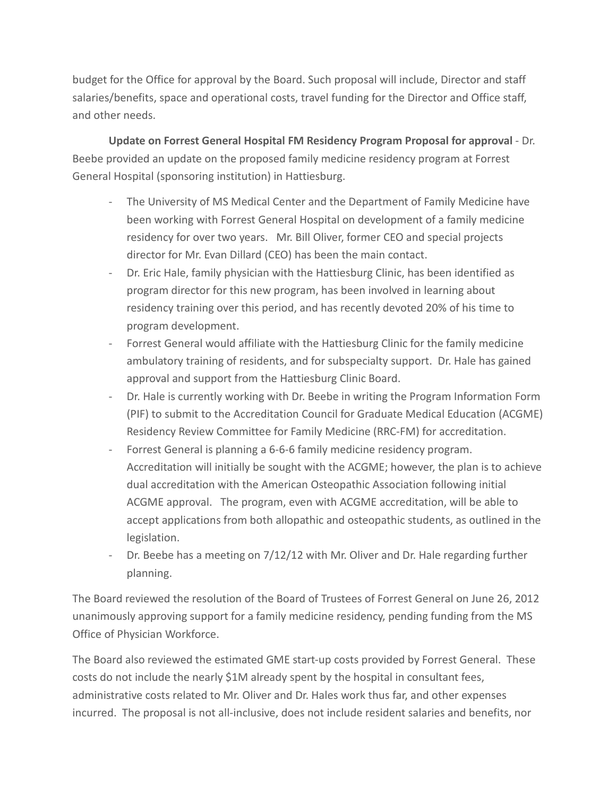budget for the Office for approval by the Board. Such proposal will include, Director and staff salaries/benefits, space and operational costs, travel funding for the Director and Office staff, and other needs.

**Update on Forrest General Hospital FM Residency Program Proposal for approval** - Dr. Beebe provided an update on the proposed family medicine residency program at Forrest General Hospital (sponsoring institution) in Hattiesburg.

- The University of MS Medical Center and the Department of Family Medicine have been working with Forrest General Hospital on development of a family medicine residency for over two years. Mr. Bill Oliver, former CEO and special projects director for Mr. Evan Dillard (CEO) has been the main contact.
- Dr. Eric Hale, family physician with the Hattiesburg Clinic, has been identified as program director for this new program, has been involved in learning about residency training over this period, and has recently devoted 20% of his time to program development.
- Forrest General would affiliate with the Hattiesburg Clinic for the family medicine ambulatory training of residents, and for subspecialty support. Dr. Hale has gained approval and support from the Hattiesburg Clinic Board.
- Dr. Hale is currently working with Dr. Beebe in writing the Program Information Form (PIF) to submit to the Accreditation Council for Graduate Medical Education (ACGME) Residency Review Committee for Family Medicine (RRC-FM) for accreditation.
- Forrest General is planning a 6-6-6 family medicine residency program. Accreditation will initially be sought with the ACGME; however, the plan is to achieve dual accreditation with the American Osteopathic Association following initial ACGME approval. The program, even with ACGME accreditation, will be able to accept applications from both allopathic and osteopathic students, as outlined in the legislation.
- Dr. Beebe has a meeting on 7/12/12 with Mr. Oliver and Dr. Hale regarding further planning.

The Board reviewed the resolution of the Board of Trustees of Forrest General on June 26, 2012 unanimously approving support for a family medicine residency, pending funding from the MS Office of Physician Workforce.

The Board also reviewed the estimated GME start-up costs provided by Forrest General. These costs do not include the nearly \$1M already spent by the hospital in consultant fees, administrative costs related to Mr. Oliver and Dr. Hales work thus far, and other expenses incurred. The proposal is not all-inclusive, does not include resident salaries and benefits, nor